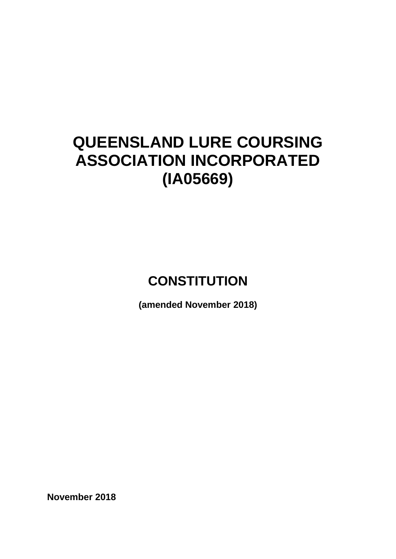# **QUEENSLAND LURE COURSING ASSOCIATION INCORPORATED (IA05669)**

## **CONSTITUTION**

**(amended November 2018)**

**November 2018**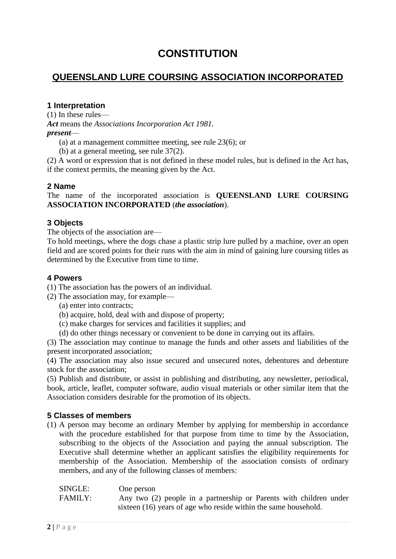### **CONSTITUTION**

#### **QUEENSLAND LURE COURSING ASSOCIATION INCORPORATED**

#### **1 Interpretation**

(1) In these rules—

*Act* means the *Associations Incorporation Act 1981.*

*present*—

(a) at a management committee meeting, see rule 23(6); or

(b) at a general meeting, see rule 37(2).

(2) A word or expression that is not defined in these model rules, but is defined in the Act has, if the context permits, the meaning given by the Act.

#### **2 Name**

The name of the incorporated association is **QUEENSLAND LURE COURSING ASSOCIATION INCORPORATED** (*the association*).

#### **3 Objects**

The objects of the association are—

To hold meetings, where the dogs chase a plastic strip lure pulled by a machine, over an open field and are scored points for their runs with the aim in mind of gaining lure coursing titles as determined by the Executive from time to time.

#### **4 Powers**

(1) The association has the powers of an individual.

- (2) The association may, for example—
	- (a) enter into contracts;
	- (b) acquire, hold, deal with and dispose of property;
	- (c) make charges for services and facilities it supplies; and
	- (d) do other things necessary or convenient to be done in carrying out its affairs.

(3) The association may continue to manage the funds and other assets and liabilities of the present incorporated association;

(4) The association may also issue secured and unsecured notes, debentures and debenture stock for the association;

(5) Publish and distribute, or assist in publishing and distributing, any newsletter, periodical, book, article, leaflet, computer software, audio visual materials or other similar item that the Association considers desirable for the promotion of its objects.

#### **5 Classes of members**

(1) A person may become an ordinary Member by applying for membership in accordance with the procedure established for that purpose from time to time by the Association, subscribing to the objects of the Association and paying the annual subscription. The Executive shall determine whether an applicant satisfies the eligibility requirements for membership of the Association. Membership of the association consists of ordinary members, and any of the following classes of members:

| SINGLE: | One person                                                         |
|---------|--------------------------------------------------------------------|
| FAMILY: | Any two (2) people in a partnership or Parents with children under |
|         | sixteen (16) years of age who reside within the same household.    |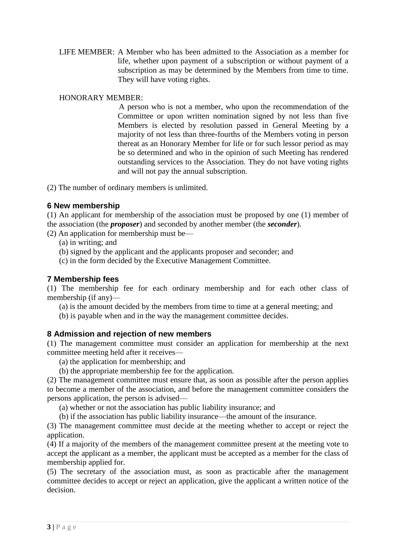LIFE MEMBER: A Member who has been admitted to the Association as a member for life, whether upon payment of a subscription or without payment of a subscription as may be determined by the Members from time to time. They will have voting rights.

#### HONORARY MEMBER:

A person who is not a member, who upon the recommendation of the Committee or upon written nomination signed by not less than five Members is elected by resolution passed in General Meeting by a majority of not less than three-fourths of the Members voting in person thereat as an Honorary Member for life or for such lessor period as may be so determined and who in the opinion of such Meeting has rendered outstanding services to the Association. They do not have voting rights and will not pay the annual subscription.

(2) The number of ordinary members is unlimited.

#### **6 New membership**

(1) An applicant for membership of the association must be proposed by one (1) member of the association (the *proposer*) and seconded by another member (the *seconder*).

(2) An application for membership must be—

- (a) in writing; and
- (b) signed by the applicant and the applicants proposer and seconder; and
- (c) in the form decided by the Executive Management Committee.

#### **7 Membership fees**

(1) The membership fee for each ordinary membership and for each other class of membership (if any)—

(a) is the amount decided by the members from time to time at a general meeting; and

(b) is payable when and in the way the management committee decides.

#### **8 Admission and rejection of new members**

(1) The management committee must consider an application for membership at the next committee meeting held after it receives—

- (a) the application for membership; and
- (b) the appropriate membership fee for the application.

(2) The management committee must ensure that, as soon as possible after the person applies to become a member of the association, and before the management committee considers the persons application, the person is advised—

(a) whether or not the association has public liability insurance; and

(b) if the association has public liability insurance—the amount of the insurance.

(3) The management committee must decide at the meeting whether to accept or reject the application.

(4) If a majority of the members of the management committee present at the meeting vote to accept the applicant as a member, the applicant must be accepted as a member for the class of membership applied for.

(5) The secretary of the association must, as soon as practicable after the management committee decides to accept or reject an application, give the applicant a written notice of the decision.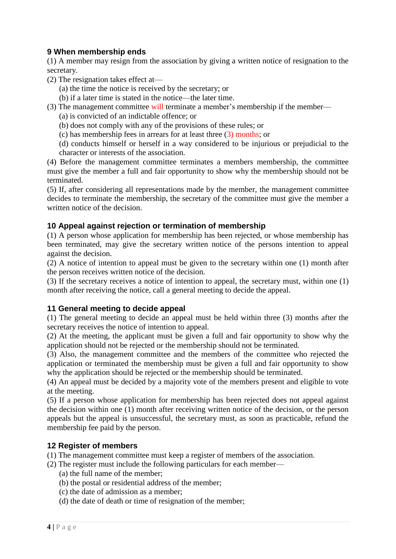#### **9 When membership ends**

(1) A member may resign from the association by giving a written notice of resignation to the secretary.

- (2) The resignation takes effect at—
	- (a) the time the notice is received by the secretary; or
	- (b) if a later time is stated in the notice—the later time.
- (3) The management committee will terminate a member's membership if the member—
	- (a) is convicted of an indictable offence; or
	- (b) does not comply with any of the provisions of these rules; or
	- (c) has membership fees in arrears for at least three (3) months; or
	- (d) conducts himself or herself in a way considered to be injurious or prejudicial to the character or interests of the association.

(4) Before the management committee terminates a members membership, the committee must give the member a full and fair opportunity to show why the membership should not be terminated.

(5) If, after considering all representations made by the member, the management committee decides to terminate the membership, the secretary of the committee must give the member a written notice of the decision.

#### **10 Appeal against rejection or termination of membership**

(1) A person whose application for membership has been rejected, or whose membership has been terminated, may give the secretary written notice of the persons intention to appeal against the decision.

(2) A notice of intention to appeal must be given to the secretary within one (1) month after the person receives written notice of the decision.

(3) If the secretary receives a notice of intention to appeal, the secretary must, within one (1) month after receiving the notice, call a general meeting to decide the appeal.

#### **11 General meeting to decide appeal**

(1) The general meeting to decide an appeal must be held within three (3) months after the secretary receives the notice of intention to appeal.

(2) At the meeting, the applicant must be given a full and fair opportunity to show why the application should not be rejected or the membership should not be terminated.

(3) Also, the management committee and the members of the committee who rejected the application or terminated the membership must be given a full and fair opportunity to show why the application should be rejected or the membership should be terminated.

(4) An appeal must be decided by a majority vote of the members present and eligible to vote at the meeting.

(5) If a person whose application for membership has been rejected does not appeal against the decision within one (1) month after receiving written notice of the decision, or the person appeals but the appeal is unsuccessful, the secretary must, as soon as practicable, refund the membership fee paid by the person.

#### **12 Register of members**

(1) The management committee must keep a register of members of the association.

- (2) The register must include the following particulars for each member—
	- (a) the full name of the member;
	- (b) the postal or residential address of the member;
	- (c) the date of admission as a member;
	- (d) the date of death or time of resignation of the member;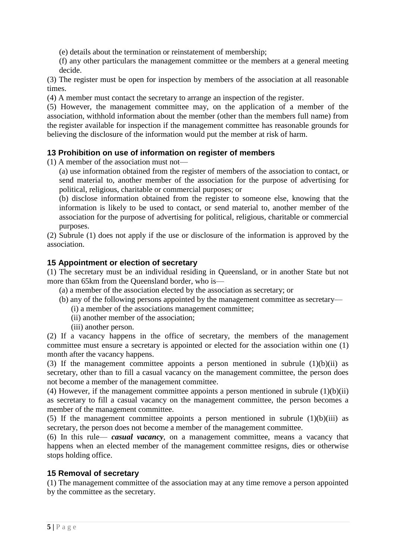(e) details about the termination or reinstatement of membership;

(f) any other particulars the management committee or the members at a general meeting decide.

(3) The register must be open for inspection by members of the association at all reasonable times.

(4) A member must contact the secretary to arrange an inspection of the register.

(5) However, the management committee may, on the application of a member of the association, withhold information about the member (other than the members full name) from the register available for inspection if the management committee has reasonable grounds for believing the disclosure of the information would put the member at risk of harm.

#### **13 Prohibition on use of information on register of members**

(1) A member of the association must not—

(a) use information obtained from the register of members of the association to contact, or send material to, another member of the association for the purpose of advertising for political, religious, charitable or commercial purposes; or

(b) disclose information obtained from the register to someone else, knowing that the information is likely to be used to contact, or send material to, another member of the association for the purpose of advertising for political, religious, charitable or commercial purposes.

(2) Subrule (1) does not apply if the use or disclosure of the information is approved by the association.

#### **15 Appointment or election of secretary**

(1) The secretary must be an individual residing in Queensland, or in another State but not more than 65km from the Queensland border, who is—

- (a) a member of the association elected by the association as secretary; or
- (b) any of the following persons appointed by the management committee as secretary—
	- (i) a member of the associations management committee;
	- (ii) another member of the association;
	- (iii) another person.

(2) If a vacancy happens in the office of secretary, the members of the management committee must ensure a secretary is appointed or elected for the association within one (1) month after the vacancy happens.

(3) If the management committee appoints a person mentioned in subrule  $(1)(b)(ii)$  as secretary, other than to fill a casual vacancy on the management committee, the person does not become a member of the management committee.

(4) However, if the management committee appoints a person mentioned in subrule  $(1)(b)(ii)$ as secretary to fill a casual vacancy on the management committee, the person becomes a member of the management committee.

(5) If the management committee appoints a person mentioned in subrule  $(1)(b)(iii)$  as secretary, the person does not become a member of the management committee.

(6) In this rule— *casual vacancy*, on a management committee, means a vacancy that happens when an elected member of the management committee resigns, dies or otherwise stops holding office.

#### **15 Removal of secretary**

(1) The management committee of the association may at any time remove a person appointed by the committee as the secretary.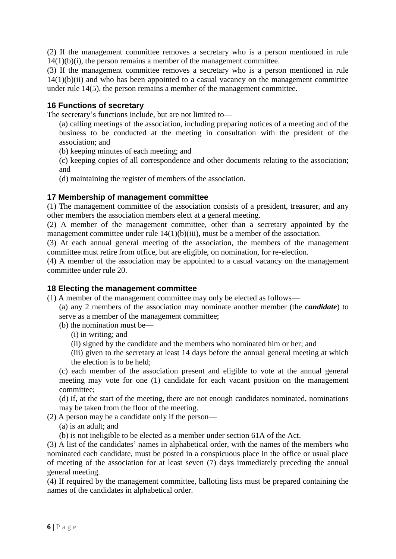(2) If the management committee removes a secretary who is a person mentioned in rule  $14(1)(b)(i)$ , the person remains a member of the management committee.

(3) If the management committee removes a secretary who is a person mentioned in rule  $14(1)(b)(ii)$  and who has been appointed to a casual vacancy on the management committee under rule 14(5), the person remains a member of the management committee.

#### **16 Functions of secretary**

The secretary's functions include, but are not limited to—

(a) calling meetings of the association, including preparing notices of a meeting and of the business to be conducted at the meeting in consultation with the president of the association; and

(b) keeping minutes of each meeting; and

(c) keeping copies of all correspondence and other documents relating to the association; and

(d) maintaining the register of members of the association.

#### **17 Membership of management committee**

(1) The management committee of the association consists of a president, treasurer, and any other members the association members elect at a general meeting.

(2) A member of the management committee, other than a secretary appointed by the management committee under rule 14(1)(b)(iii), must be a member of the association.

(3) At each annual general meeting of the association, the members of the management committee must retire from office, but are eligible, on nomination, for re-election.

(4) A member of the association may be appointed to a casual vacancy on the management committee under rule 20.

#### **18 Electing the management committee**

(1) A member of the management committee may only be elected as follows—

(a) any 2 members of the association may nominate another member (the *candidate*) to serve as a member of the management committee;

(b) the nomination must be—

(i) in writing; and

(ii) signed by the candidate and the members who nominated him or her; and

(iii) given to the secretary at least 14 days before the annual general meeting at which the election is to be held;

(c) each member of the association present and eligible to vote at the annual general meeting may vote for one (1) candidate for each vacant position on the management committee;

(d) if, at the start of the meeting, there are not enough candidates nominated, nominations may be taken from the floor of the meeting.

(2) A person may be a candidate only if the person—

(a) is an adult; and

(b) is not ineligible to be elected as a member under section 61A of the Act.

(3) A list of the candidates' names in alphabetical order, with the names of the members who nominated each candidate, must be posted in a conspicuous place in the office or usual place of meeting of the association for at least seven (7) days immediately preceding the annual general meeting.

(4) If required by the management committee, balloting lists must be prepared containing the names of the candidates in alphabetical order.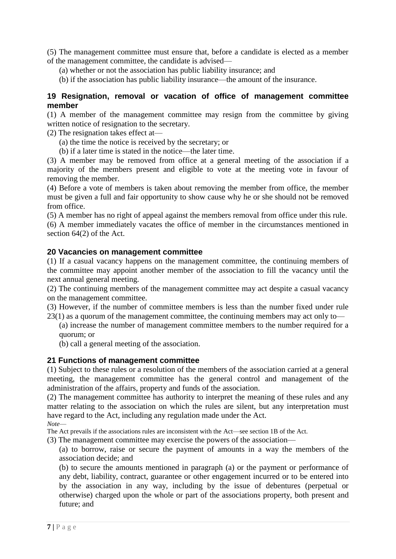(5) The management committee must ensure that, before a candidate is elected as a member of the management committee, the candidate is advised—

(a) whether or not the association has public liability insurance; and

(b) if the association has public liability insurance—the amount of the insurance.

#### **19 Resignation, removal or vacation of office of management committee member**

(1) A member of the management committee may resign from the committee by giving written notice of resignation to the secretary.

(2) The resignation takes effect at—

- (a) the time the notice is received by the secretary; or
- (b) if a later time is stated in the notice—the later time.

(3) A member may be removed from office at a general meeting of the association if a majority of the members present and eligible to vote at the meeting vote in favour of removing the member.

(4) Before a vote of members is taken about removing the member from office, the member must be given a full and fair opportunity to show cause why he or she should not be removed from office.

(5) A member has no right of appeal against the members removal from office under this rule.

(6) A member immediately vacates the office of member in the circumstances mentioned in section 64(2) of the Act.

#### **20 Vacancies on management committee**

(1) If a casual vacancy happens on the management committee, the continuing members of the committee may appoint another member of the association to fill the vacancy until the next annual general meeting.

(2) The continuing members of the management committee may act despite a casual vacancy on the management committee.

(3) However, if the number of committee members is less than the number fixed under rule 23(1) as a quorum of the management committee, the continuing members may act only to—

(a) increase the number of management committee members to the number required for a quorum; or

(b) call a general meeting of the association.

#### **21 Functions of management committee**

(1) Subject to these rules or a resolution of the members of the association carried at a general meeting, the management committee has the general control and management of the administration of the affairs, property and funds of the association.

(2) The management committee has authority to interpret the meaning of these rules and any matter relating to the association on which the rules are silent, but any interpretation must have regard to the Act, including any regulation made under the Act.

*Note*—

The Act prevails if the associations rules are inconsistent with the Act—see section 1B of the Act.

(3) The management committee may exercise the powers of the association—

(a) to borrow, raise or secure the payment of amounts in a way the members of the association decide; and

(b) to secure the amounts mentioned in paragraph (a) or the payment or performance of any debt, liability, contract, guarantee or other engagement incurred or to be entered into by the association in any way, including by the issue of debentures (perpetual or otherwise) charged upon the whole or part of the associations property, both present and future; and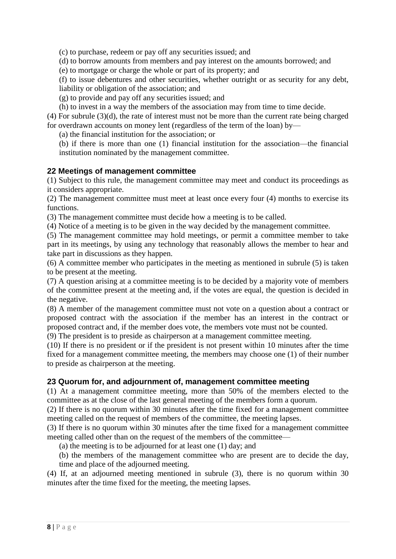(c) to purchase, redeem or pay off any securities issued; and

(d) to borrow amounts from members and pay interest on the amounts borrowed; and

(e) to mortgage or charge the whole or part of its property; and

(f) to issue debentures and other securities, whether outright or as security for any debt, liability or obligation of the association; and

(g) to provide and pay off any securities issued; and

(h) to invest in a way the members of the association may from time to time decide.

(4) For subrule (3)(d), the rate of interest must not be more than the current rate being charged for overdrawn accounts on money lent (regardless of the term of the loan) by—

(a) the financial institution for the association; or

(b) if there is more than one (1) financial institution for the association—the financial institution nominated by the management committee.

#### **22 Meetings of management committee**

(1) Subject to this rule, the management committee may meet and conduct its proceedings as it considers appropriate.

(2) The management committee must meet at least once every four (4) months to exercise its functions.

(3) The management committee must decide how a meeting is to be called.

(4) Notice of a meeting is to be given in the way decided by the management committee.

(5) The management committee may hold meetings, or permit a committee member to take part in its meetings, by using any technology that reasonably allows the member to hear and take part in discussions as they happen.

(6) A committee member who participates in the meeting as mentioned in subrule (5) is taken to be present at the meeting.

(7) A question arising at a committee meeting is to be decided by a majority vote of members of the committee present at the meeting and, if the votes are equal, the question is decided in the negative.

(8) A member of the management committee must not vote on a question about a contract or proposed contract with the association if the member has an interest in the contract or proposed contract and, if the member does vote, the members vote must not be counted.

(9) The president is to preside as chairperson at a management committee meeting.

(10) If there is no president or if the president is not present within 10 minutes after the time fixed for a management committee meeting, the members may choose one (1) of their number to preside as chairperson at the meeting.

#### **23 Quorum for, and adjournment of, management committee meeting**

(1) At a management committee meeting, more than 50% of the members elected to the committee as at the close of the last general meeting of the members form a quorum.

(2) If there is no quorum within 30 minutes after the time fixed for a management committee meeting called on the request of members of the committee, the meeting lapses.

(3) If there is no quorum within 30 minutes after the time fixed for a management committee meeting called other than on the request of the members of the committee—

(a) the meeting is to be adjourned for at least one (1) day; and

(b) the members of the management committee who are present are to decide the day,

time and place of the adjourned meeting.

(4) If, at an adjourned meeting mentioned in subrule (3), there is no quorum within 30 minutes after the time fixed for the meeting, the meeting lapses.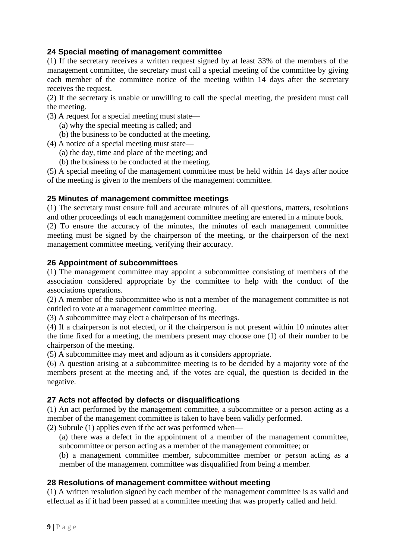#### **24 Special meeting of management committee**

(1) If the secretary receives a written request signed by at least 33% of the members of the management committee, the secretary must call a special meeting of the committee by giving each member of the committee notice of the meeting within 14 days after the secretary receives the request.

(2) If the secretary is unable or unwilling to call the special meeting, the president must call the meeting.

- (3) A request for a special meeting must state—
	- (a) why the special meeting is called; and
	- (b) the business to be conducted at the meeting.

(4) A notice of a special meeting must state—

- (a) the day, time and place of the meeting; and
- (b) the business to be conducted at the meeting.

(5) A special meeting of the management committee must be held within 14 days after notice of the meeting is given to the members of the management committee.

#### **25 Minutes of management committee meetings**

(1) The secretary must ensure full and accurate minutes of all questions, matters, resolutions and other proceedings of each management committee meeting are entered in a minute book.

(2) To ensure the accuracy of the minutes, the minutes of each management committee meeting must be signed by the chairperson of the meeting, or the chairperson of the next management committee meeting, verifying their accuracy.

#### **26 Appointment of subcommittees**

(1) The management committee may appoint a subcommittee consisting of members of the association considered appropriate by the committee to help with the conduct of the associations operations.

(2) A member of the subcommittee who is not a member of the management committee is not entitled to vote at a management committee meeting.

(3) A subcommittee may elect a chairperson of its meetings.

(4) If a chairperson is not elected, or if the chairperson is not present within 10 minutes after the time fixed for a meeting, the members present may choose one (1) of their number to be chairperson of the meeting.

(5) A subcommittee may meet and adjourn as it considers appropriate.

(6) A question arising at a subcommittee meeting is to be decided by a majority vote of the members present at the meeting and, if the votes are equal, the question is decided in the negative.

#### **27 Acts not affected by defects or disqualifications**

(1) An act performed by the management committee, a subcommittee or a person acting as a member of the management committee is taken to have been validly performed.

(2) Subrule (1) applies even if the act was performed when—

(a) there was a defect in the appointment of a member of the management committee, subcommittee or person acting as a member of the management committee; or

(b) a management committee member, subcommittee member or person acting as a member of the management committee was disqualified from being a member.

#### **28 Resolutions of management committee without meeting**

(1) A written resolution signed by each member of the management committee is as valid and effectual as if it had been passed at a committee meeting that was properly called and held.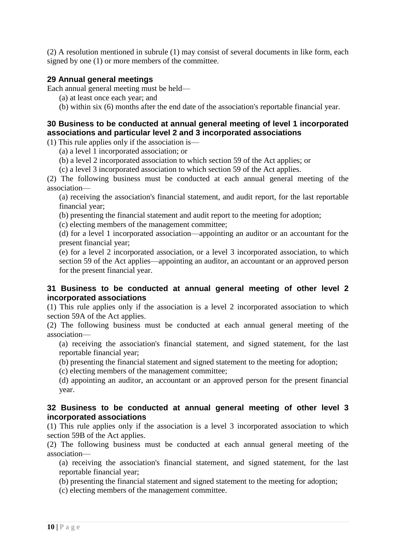(2) A resolution mentioned in subrule (1) may consist of several documents in like form, each signed by one (1) or more members of the committee.

#### **29 Annual general meetings**

Each annual general meeting must be held—

- (a) at least once each year; and
- (b) within six (6) months after the end date of the association's reportable financial year.

#### **30 Business to be conducted at annual general meeting of level 1 incorporated associations and particular level 2 and 3 incorporated associations**

(1) This rule applies only if the association is—

- (a) a level 1 incorporated association; or
- (b) a level 2 incorporated association to which section 59 of the Act applies; or
- (c) a level 3 incorporated association to which section 59 of the Act applies.

(2) The following business must be conducted at each annual general meeting of the association—

(a) receiving the association's financial statement, and audit report, for the last reportable financial year;

- (b) presenting the financial statement and audit report to the meeting for adoption;
- (c) electing members of the management committee;

(d) for a level 1 incorporated association—appointing an auditor or an accountant for the present financial year;

(e) for a level 2 incorporated association, or a level 3 incorporated association, to which section 59 of the Act applies—appointing an auditor, an accountant or an approved person for the present financial year.

#### **31 Business to be conducted at annual general meeting of other level 2 incorporated associations**

(1) This rule applies only if the association is a level 2 incorporated association to which section 59A of the Act applies.

(2) The following business must be conducted at each annual general meeting of the association—

(a) receiving the association's financial statement, and signed statement, for the last reportable financial year;

(b) presenting the financial statement and signed statement to the meeting for adoption;

(c) electing members of the management committee;

(d) appointing an auditor, an accountant or an approved person for the present financial year.

#### **32 Business to be conducted at annual general meeting of other level 3 incorporated associations**

(1) This rule applies only if the association is a level 3 incorporated association to which section 59B of the Act applies.

(2) The following business must be conducted at each annual general meeting of the association—

(a) receiving the association's financial statement, and signed statement, for the last reportable financial year;

- (b) presenting the financial statement and signed statement to the meeting for adoption;
- (c) electing members of the management committee.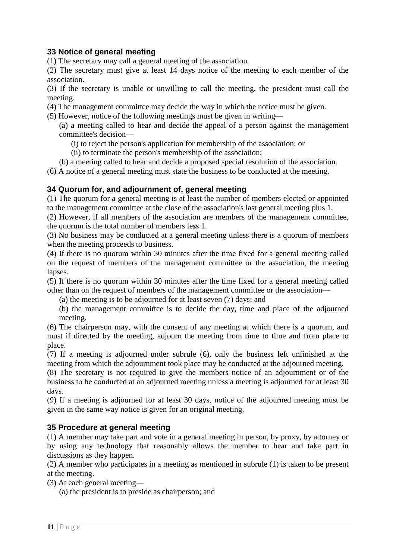#### **33 Notice of general meeting**

(1) The secretary may call a general meeting of the association.

(2) The secretary must give at least 14 days notice of the meeting to each member of the association.

(3) If the secretary is unable or unwilling to call the meeting, the president must call the meeting.

- (4) The management committee may decide the way in which the notice must be given.
- (5) However, notice of the following meetings must be given in writing—

(a) a meeting called to hear and decide the appeal of a person against the management committee's decision—

- (i) to reject the person's application for membership of the association; or
- (ii) to terminate the person's membership of the association;
- (b) a meeting called to hear and decide a proposed special resolution of the association.

(6) A notice of a general meeting must state the business to be conducted at the meeting.

#### **34 Quorum for, and adjournment of, general meeting**

(1) The quorum for a general meeting is at least the number of members elected or appointed to the management committee at the close of the association's last general meeting plus 1.

(2) However, if all members of the association are members of the management committee, the quorum is the total number of members less 1.

(3) No business may be conducted at a general meeting unless there is a quorum of members when the meeting proceeds to business.

(4) If there is no quorum within 30 minutes after the time fixed for a general meeting called on the request of members of the management committee or the association, the meeting lapses.

(5) If there is no quorum within 30 minutes after the time fixed for a general meeting called other than on the request of members of the management committee or the association—

(a) the meeting is to be adjourned for at least seven (7) days; and

(b) the management committee is to decide the day, time and place of the adjourned meeting.

(6) The chairperson may, with the consent of any meeting at which there is a quorum, and must if directed by the meeting, adjourn the meeting from time to time and from place to place.

(7) If a meeting is adjourned under subrule (6), only the business left unfinished at the meeting from which the adjournment took place may be conducted at the adjourned meeting.

(8) The secretary is not required to give the members notice of an adjournment or of the business to be conducted at an adjourned meeting unless a meeting is adjourned for at least 30 days.

(9) If a meeting is adjourned for at least 30 days, notice of the adjourned meeting must be given in the same way notice is given for an original meeting.

#### **35 Procedure at general meeting**

(1) A member may take part and vote in a general meeting in person, by proxy, by attorney or by using any technology that reasonably allows the member to hear and take part in discussions as they happen.

(2) A member who participates in a meeting as mentioned in subrule (1) is taken to be present at the meeting.

(3) At each general meeting—

(a) the president is to preside as chairperson; and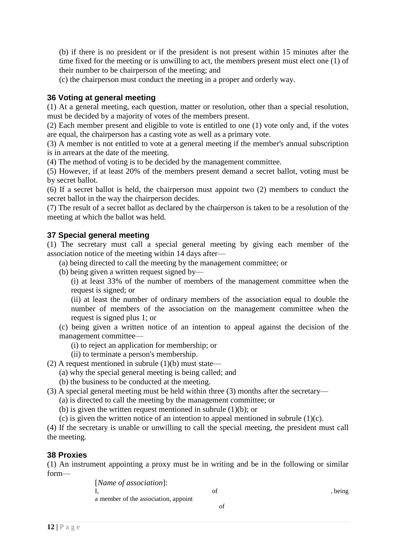(b) if there is no president or if the president is not present within 15 minutes after the time fixed for the meeting or is unwilling to act, the members present must elect one (1) of their number to be chairperson of the meeting; and

(c) the chairperson must conduct the meeting in a proper and orderly way.

#### **36 Voting at general meeting**

(1) At a general meeting, each question, matter or resolution, other than a special resolution, must be decided by a majority of votes of the members present.

(2) Each member present and eligible to vote is entitled to one (1) vote only and, if the votes are equal, the chairperson has a casting vote as well as a primary vote.

(3) A member is not entitled to vote at a general meeting if the member's annual subscription is in arrears at the date of the meeting.

(4) The method of voting is to be decided by the management committee.

(5) However, if at least 20% of the members present demand a secret ballot, voting must be by secret ballot.

(6) If a secret ballot is held, the chairperson must appoint two (2) members to conduct the secret ballot in the way the chairperson decides.

(7) The result of a secret ballot as declared by the chairperson is taken to be a resolution of the meeting at which the ballot was held.

#### **37 Special general meeting**

(1) The secretary must call a special general meeting by giving each member of the association notice of the meeting within 14 days after—

- (a) being directed to call the meeting by the management committee; or
- (b) being given a written request signed by—

(i) at least 33% of the number of members of the management committee when the request is signed; or

(ii) at least the number of ordinary members of the association equal to double the number of members of the association on the management committee when the request is signed plus 1; or

(c) being given a written notice of an intention to appeal against the decision of the management committee—

- (i) to reject an application for membership; or
- (ii) to terminate a person's membership.
- (2) A request mentioned in subrule  $(1)(b)$  must state—
	- (a) why the special general meeting is being called; and
	- (b) the business to be conducted at the meeting.

#### (3) A special general meeting must be held within three (3) months after the secretary—

- (a) is directed to call the meeting by the management committee; or
- (b) is given the written request mentioned in subrule (1)(b); or
- (c) is given the written notice of an intention to appeal mentioned in subrule  $(1)(c)$ .

(4) If the secretary is unable or unwilling to call the special meeting, the president must call the meeting.

#### **38 Proxies**

(1) An instrument appointing a proxy must be in writing and be in the following or similar form—

> [*Name of association*]: I, and the set of the set of  $\alpha$ , being a member of the association, appoint of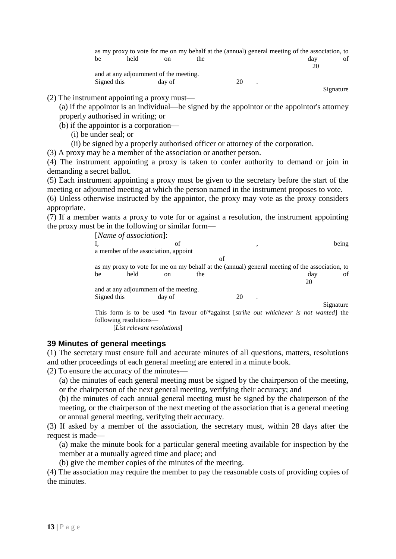|             |                                        |        |     |    | as my proxy to vote for me on my behalf at the (annual) general meeting of the association, to |    |
|-------------|----------------------------------------|--------|-----|----|------------------------------------------------------------------------------------------------|----|
| be          | held                                   | on     | the |    | dav                                                                                            | of |
|             |                                        |        |     |    | 20                                                                                             |    |
|             | and at any adjournment of the meeting. |        |     |    |                                                                                                |    |
| Signed this |                                        | day of |     | 20 |                                                                                                |    |

Signature

(2) The instrument appointing a proxy must—

(a) if the appointor is an individual—be signed by the appointor or the appointor's attorney properly authorised in writing; or

- (b) if the appointor is a corporation—
	- (i) be under seal; or
	- (ii) be signed by a properly authorised officer or attorney of the corporation.

(3) A proxy may be a member of the association or another person.

(4) The instrument appointing a proxy is taken to confer authority to demand or join in demanding a secret ballot.

(5) Each instrument appointing a proxy must be given to the secretary before the start of the meeting or adjourned meeting at which the person named in the instrument proposes to vote.

(6) Unless otherwise instructed by the appointor, the proxy may vote as the proxy considers appropriate.

(7) If a member wants a proxy to vote for or against a resolution, the instrument appointing the proxy must be in the following or similar form—

|                                      | [Name of association]: |                                        |     |    |   |                                                                                                |           |  |
|--------------------------------------|------------------------|----------------------------------------|-----|----|---|------------------------------------------------------------------------------------------------|-----------|--|
|                                      |                        | of                                     |     |    | , |                                                                                                | being     |  |
| a member of the association, appoint |                        |                                        |     |    |   |                                                                                                |           |  |
|                                      |                        |                                        |     | of |   |                                                                                                |           |  |
|                                      |                        |                                        |     |    |   | as my proxy to vote for me on my behalf at the (annual) general meeting of the association, to |           |  |
| be                                   | held                   | <sub>on</sub>                          | the |    |   | day                                                                                            | οť        |  |
|                                      |                        |                                        |     |    |   | 20                                                                                             |           |  |
|                                      |                        | and at any adjournment of the meeting. |     |    |   |                                                                                                |           |  |
| Signed this                          |                        | day of                                 |     | 20 |   |                                                                                                |           |  |
|                                      |                        |                                        |     |    |   |                                                                                                | Signature |  |
|                                      |                        |                                        |     |    |   | This form is to be used *in favour of *against <i>strike out whichever is not wanted</i> the   |           |  |
|                                      | following resolutions— |                                        |     |    |   |                                                                                                |           |  |

[*List relevant resolutions*]

#### **39 Minutes of general meetings**

(1) The secretary must ensure full and accurate minutes of all questions, matters, resolutions and other proceedings of each general meeting are entered in a minute book.

(2) To ensure the accuracy of the minutes—

(a) the minutes of each general meeting must be signed by the chairperson of the meeting, or the chairperson of the next general meeting, verifying their accuracy; and

(b) the minutes of each annual general meeting must be signed by the chairperson of the meeting, or the chairperson of the next meeting of the association that is a general meeting or annual general meeting, verifying their accuracy.

(3) If asked by a member of the association, the secretary must, within 28 days after the request is made—

(a) make the minute book for a particular general meeting available for inspection by the member at a mutually agreed time and place; and

(b) give the member copies of the minutes of the meeting.

(4) The association may require the member to pay the reasonable costs of providing copies of the minutes.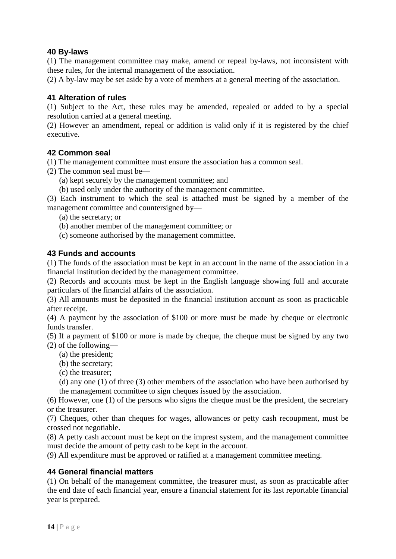#### **40 By-laws**

(1) The management committee may make, amend or repeal by-laws, not inconsistent with these rules, for the internal management of the association.

(2) A by-law may be set aside by a vote of members at a general meeting of the association.

#### **41 Alteration of rules**

(1) Subject to the Act, these rules may be amended, repealed or added to by a special resolution carried at a general meeting.

(2) However an amendment, repeal or addition is valid only if it is registered by the chief executive.

#### **42 Common seal**

(1) The management committee must ensure the association has a common seal.

- (2) The common seal must be—
	- (a) kept securely by the management committee; and
	- (b) used only under the authority of the management committee.

(3) Each instrument to which the seal is attached must be signed by a member of the management committee and countersigned by—

- (a) the secretary; or
- (b) another member of the management committee; or
- (c) someone authorised by the management committee.

#### **43 Funds and accounts**

(1) The funds of the association must be kept in an account in the name of the association in a financial institution decided by the management committee.

(2) Records and accounts must be kept in the English language showing full and accurate particulars of the financial affairs of the association.

(3) All amounts must be deposited in the financial institution account as soon as practicable after receipt.

(4) A payment by the association of \$100 or more must be made by cheque or electronic funds transfer.

(5) If a payment of \$100 or more is made by cheque, the cheque must be signed by any two

(2) of the following—

- (a) the president;
- (b) the secretary;

(c) the treasurer;

(d) any one (1) of three (3) other members of the association who have been authorised by the management committee to sign cheques issued by the association.

(6) However, one (1) of the persons who signs the cheque must be the president, the secretary or the treasurer.

(7) Cheques, other than cheques for wages, allowances or petty cash recoupment, must be crossed not negotiable.

(8) A petty cash account must be kept on the imprest system, and the management committee must decide the amount of petty cash to be kept in the account.

(9) All expenditure must be approved or ratified at a management committee meeting.

#### **44 General financial matters**

(1) On behalf of the management committee, the treasurer must, as soon as practicable after the end date of each financial year, ensure a financial statement for its last reportable financial year is prepared.